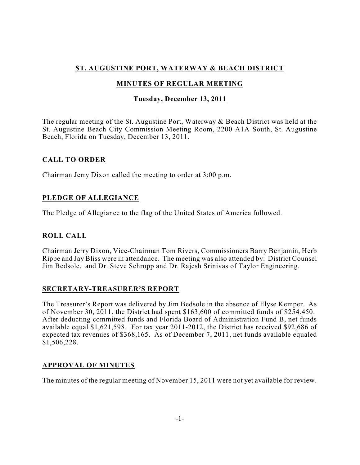# **ST. AUGUSTINE PORT, WATERWAY & BEACH DISTRICT**

# **MINUTES OF REGULAR MEETING**

## **Tuesday, December 13, 2011**

The regular meeting of the St. Augustine Port, Waterway & Beach District was held at the St. Augustine Beach City Commission Meeting Room, 2200 A1A South, St. Augustine Beach, Florida on Tuesday, December 13, 2011.

## **CALL TO ORDER**

Chairman Jerry Dixon called the meeting to order at 3:00 p.m.

## **PLEDGE OF ALLEGIANCE**

The Pledge of Allegiance to the flag of the United States of America followed.

# **ROLL CALL**

Chairman Jerry Dixon, Vice-Chairman Tom Rivers, Commissioners Barry Benjamin, Herb Rippe and Jay Bliss were in attendance. The meeting was also attended by: District Counsel Jim Bedsole, and Dr. Steve Schropp and Dr. Rajesh Srinivas of Taylor Engineering.

## **SECRETARY-TREASURER'S REPORT**

The Treasurer's Report was delivered by Jim Bedsole in the absence of Elyse Kemper. As of November 30, 2011, the District had spent \$163,600 of committed funds of \$254,450. After deducting committed funds and Florida Board of Administration Fund B, net funds available equal \$1,621,598. For tax year 2011-2012, the District has received \$92,686 of expected tax revenues of \$368,165. As of December 7, 2011, net funds available equaled \$1,506,228.

## **APPROVAL OF MINUTES**

The minutes of the regular meeting of November 15, 2011 were not yet available for review.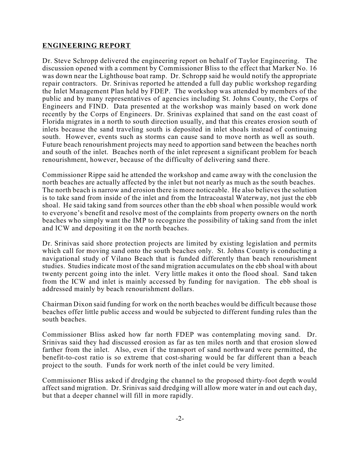### **ENGINEERING REPORT**

Dr. Steve Schropp delivered the engineering report on behalf of Taylor Engineering. The discussion opened with a comment by Commissioner Bliss to the effect that Marker No. 16 was down near the Lighthouse boat ramp. Dr. Schropp said he would notify the appropriate repair contractors. Dr. Srinivas reported he attended a full day public workshop regarding the Inlet Management Plan held by FDEP. The workshop was attended by members of the public and by many representatives of agencies including St. Johns County, the Corps of Engineers and FIND. Data presented at the workshop was mainly based on work done recently by the Corps of Engineers. Dr. Srinivas explained that sand on the east coast of Florida migrates in a north to south direction usually, and that this creates erosion south of inlets because the sand traveling south is deposited in inlet shoals instead of continuing south. However, events such as storms can cause sand to move north as well as south. Future beach renourishment projects may need to apportion sand between the beaches north and south of the inlet. Beaches north of the inlet represent a significant problem for beach renourishment, however, because of the difficulty of delivering sand there.

Commissioner Rippe said he attended the workshop and came away with the conclusion the north beaches are actually affected by the inlet but not nearly as much as the south beaches. The north beach is narrow and erosion there is more noticeable. He also believes the solution is to take sand from inside of the inlet and from the Intracoastal Waterway, not just the ebb shoal. He said taking sand from sources other than the ebb shoal when possible would work to everyone's benefit and resolve most of the complaints from property owners on the north beaches who simply want the IMP to recognize the possibility of taking sand from the inlet and ICW and depositing it on the north beaches.

Dr. Srinivas said shore protection projects are limited by existing legislation and permits which call for moving sand onto the south beaches only. St. Johns County is conducting a navigational study of Vilano Beach that is funded differently than beach renourishment studies. Studies indicate most of the sand migration accumulates on the ebb shoal with about twenty percent going into the inlet. Very little makes it onto the flood shoal. Sand taken from the ICW and inlet is mainly accessed by funding for navigation. The ebb shoal is addressed mainly by beach renourishment dollars.

Chairman Dixon said funding for work on the north beaches would be difficult because those beaches offer little public access and would be subjected to different funding rules than the south beaches.

Commissioner Bliss asked how far north FDEP was contemplating moving sand. Dr. Srinivas said they had discussed erosion as far as ten miles north and that erosion slowed farther from the inlet. Also, even if the transport of sand northward were permitted, the benefit-to-cost ratio is so extreme that cost-sharing would be far different than a beach project to the south. Funds for work north of the inlet could be very limited.

Commissioner Bliss asked if dredging the channel to the proposed thirty-foot depth would affect sand migration. Dr. Srinivas said dredging will allow more water in and out each day, but that a deeper channel will fill in more rapidly.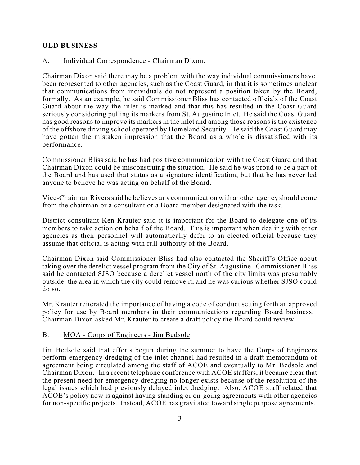### **OLD BUSINESS**

### A. Individual Correspondence - Chairman Dixon.

Chairman Dixon said there may be a problem with the way individual commissioners have been represented to other agencies, such as the Coast Guard, in that it is sometimes unclear that communications from individuals do not represent a position taken by the Board, formally. As an example, he said Commissioner Bliss has contacted officials of the Coast Guard about the way the inlet is marked and that this has resulted in the Coast Guard seriously considering pulling its markers from St. Augustine Inlet. He said the Coast Guard has good reasons to improve its markers in the inlet and among those reasons is the existence of the offshore driving school operated by Homeland Security. He said the Coast Guard may have gotten the mistaken impression that the Board as a whole is dissatisfied with its performance.

Commissioner Bliss said he has had positive communication with the Coast Guard and that Chairman Dixon could be misconstruing the situation. He said he was proud to be a part of the Board and has used that status as a signature identification, but that he has never led anyone to believe he was acting on behalf of the Board.

Vice-Chairman Riverssaid he believes any communication with another agency should come from the chairman or a consultant or a Board member designated with the task.

District consultant Ken Krauter said it is important for the Board to delegate one of its members to take action on behalf of the Board. This is important when dealing with other agencies as their personnel will automatically defer to an elected official because they assume that official is acting with full authority of the Board.

Chairman Dixon said Commissioner Bliss had also contacted the Sheriff's Office about taking over the derelict vessel program from the City of St. Augustine. Commissioner Bliss said he contacted SJSO because a derelict vessel north of the city limits was presumably outside the area in which the city could remove it, and he was curious whether SJSO could do so.

Mr. Krauter reiterated the importance of having a code of conduct setting forth an approved policy for use by Board members in their communications regarding Board business. Chairman Dixon asked Mr. Krauter to create a draft policy the Board could review.

#### B. MOA - Corps of Engineers - Jim Bedsole

Jim Bedsole said that efforts begun during the summer to have the Corps of Engineers perform emergency dredging of the inlet channel had resulted in a draft memorandum of agreement being circulated among the staff of ACOE and eventually to Mr. Bedsole and Chairman Dixon. In a recent telephone conference with ACOE staffers, it became clear that the present need for emergency dredging no longer exists because of the resolution of the legal issues which had previously delayed inlet dredging. Also, ACOE staff related that ACOE's policy now is against having standing or on-going agreements with other agencies for non-specific projects. Instead, ACOE has gravitated toward single purpose agreements.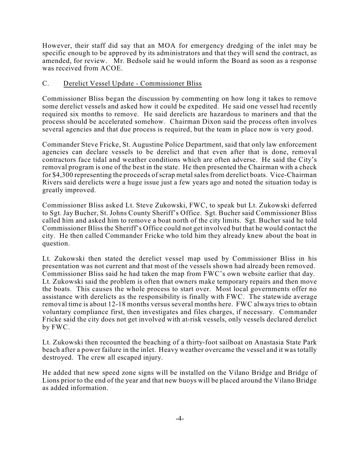However, their staff did say that an MOA for emergency dredging of the inlet may be specific enough to be approved by its administrators and that they will send the contract, as amended, for review. Mr. Bedsole said he would inform the Board as soon as a response was received from ACOE.

### C. Derelict Vessel Update - Commissioner Bliss

Commissioner Bliss began the discussion by commenting on how long it takes to remove some derelict vessels and asked how it could be expedited. He said one vessel had recently required six months to remove. He said derelicts are hazardous to mariners and that the process should be accelerated somehow. Chairman Dixon said the process often involves several agencies and that due process is required, but the team in place now is very good.

Commander Steve Fricke, St. Augustine Police Department, said that only law enforcement agencies can declare vessels to be derelict and that even after that is done, removal contractors face tidal and weather conditions which are often adverse. He said the City's removal program is one of the best in the state. He then presented the Chairman with a check for \$4,300 representing the proceeds of scrap metalsalesfrom derelict boats. Vice-Chairman Rivers said derelicts were a huge issue just a few years ago and noted the situation today is greatly improved.

Commissioner Bliss asked Lt. Steve Zukowski, FWC, to speak but Lt. Zukowski deferred to Sgt. Jay Bucher, St. Johns County Sheriff's Office. Sgt. Bucher said Commissioner Bliss called him and asked him to remove a boat north of the city limits. Sgt. Bucher said he told Commissioner Bliss the Sheriff's Office could not get involved but that he would contact the city. He then called Commander Fricke who told him they already knew about the boat in question.

Lt. Zukowski then stated the derelict vessel map used by Commissioner Bliss in his presentation was not current and that most of the vessels shown had already been removed. Commissioner Bliss said he had taken the map from FWC's own website earlier that day. Lt. Zukowski said the problem is often that owners make temporary repairs and then move the boats. This causes the whole process to start over. Most local governments offer no assistance with derelicts as the responsibility is finally with FWC. The statewide average removal time is about 12-18 months versus several months here. FWC always tries to obtain voluntary compliance first, then investigates and files charges, if necessary. Commander Fricke said the city does not get involved with at-risk vessels, only vessels declared derelict by FWC.

Lt. Zukowski then recounted the beaching of a thirty-foot sailboat on Anastasia State Park beach after a power failure in the inlet. Heavy weather overcame the vessel and it was totally destroyed. The crew all escaped injury.

He added that new speed zone signs will be installed on the Vilano Bridge and Bridge of Lions prior to the end of the year and that new buoys will be placed around the Vilano Bridge as added information.